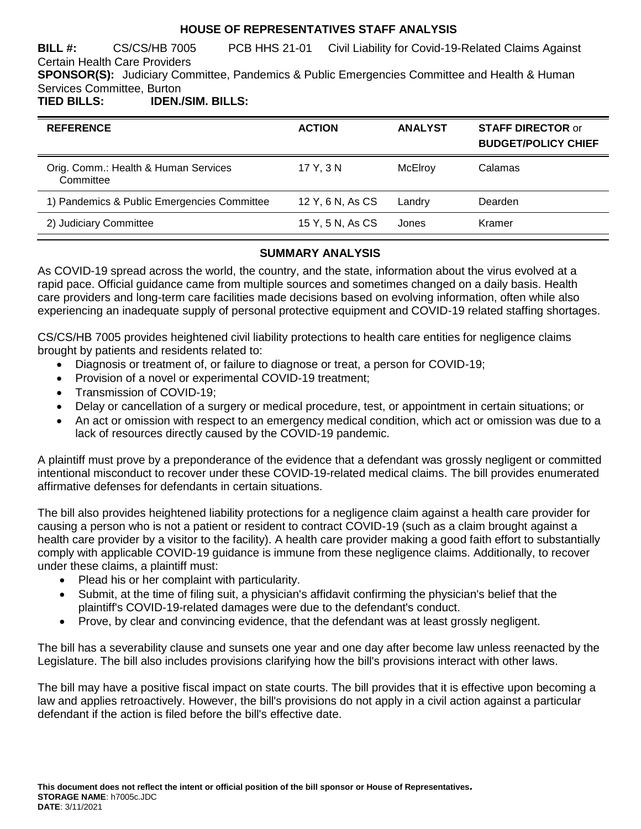### **HOUSE OF REPRESENTATIVES STAFF ANALYSIS**

**BILL #:** CS/CS/HB 7005 PCB HHS 21-01 Civil Liability for Covid-19-Related Claims Against Certain Health Care Providers **SPONSOR(S):** Judiciary Committee, Pandemics & Public Emergencies Committee and Health & Human Services Committee, Burton **TIED BILLS: IDEN./SIM. BILLS:**

| <b>REFERENCE</b>                                  | <b>ACTION</b>    | <b>ANALYST</b> | <b>STAFF DIRECTOR or</b><br><b>BUDGET/POLICY CHIEF</b> |
|---------------------------------------------------|------------------|----------------|--------------------------------------------------------|
| Orig. Comm.: Health & Human Services<br>Committee | 17 Y, 3 N        | McElroy        | Calamas                                                |
| 1) Pandemics & Public Emergencies Committee       | 12 Y, 6 N, As CS | Landry         | Dearden                                                |
| 2) Judiciary Committee                            | 15 Y, 5 N, As CS | Jones          | Kramer                                                 |

# **SUMMARY ANALYSIS**

As COVID-19 spread across the world, the country, and the state, information about the virus evolved at a rapid pace. Official guidance came from multiple sources and sometimes changed on a daily basis. Health care providers and long-term care facilities made decisions based on evolving information, often while also experiencing an inadequate supply of personal protective equipment and COVID-19 related staffing shortages.

CS/CS/HB 7005 provides heightened civil liability protections to health care entities for negligence claims brought by patients and residents related to:

- Diagnosis or treatment of, or failure to diagnose or treat, a person for COVID-19;
- Provision of a novel or experimental COVID-19 treatment;
- Transmission of COVID-19;
- Delay or cancellation of a surgery or medical procedure, test, or appointment in certain situations; or
- An act or omission with respect to an emergency medical condition, which act or omission was due to a lack of resources directly caused by the COVID-19 pandemic.

A plaintiff must prove by a preponderance of the evidence that a defendant was grossly negligent or committed intentional misconduct to recover under these COVID-19-related medical claims. The bill provides enumerated affirmative defenses for defendants in certain situations.

The bill also provides heightened liability protections for a negligence claim against a health care provider for causing a person who is not a patient or resident to contract COVID-19 (such as a claim brought against a health care provider by a visitor to the facility). A health care provider making a good faith effort to substantially comply with applicable COVID-19 guidance is immune from these negligence claims. Additionally, to recover under these claims, a plaintiff must:

- Plead his or her complaint with particularity.
- Submit, at the time of filing suit, a physician's affidavit confirming the physician's belief that the plaintiff's COVID-19-related damages were due to the defendant's conduct.
- Prove, by clear and convincing evidence, that the defendant was at least grossly negligent.

The bill has a severability clause and sunsets one year and one day after become law unless reenacted by the Legislature. The bill also includes provisions clarifying how the bill's provisions interact with other laws.

The bill may have a positive fiscal impact on state courts. The bill provides that it is effective upon becoming a law and applies retroactively. However, the bill's provisions do not apply in a civil action against a particular defendant if the action is filed before the bill's effective date.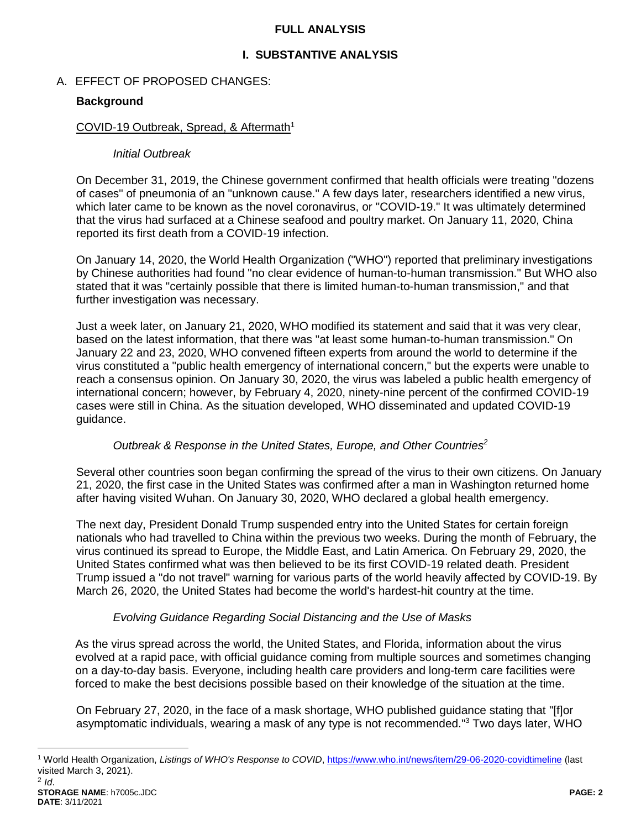### **FULL ANALYSIS**

# **I. SUBSTANTIVE ANALYSIS**

## A. EFFECT OF PROPOSED CHANGES:

## **Background**

### COVID-19 Outbreak, Spread, & Aftermath<sup>1</sup>

### *Initial Outbreak*

On December 31, 2019, the Chinese government confirmed that health officials were treating "dozens of cases" of pneumonia of an "unknown cause." A few days later, researchers identified a new virus, which later came to be known as the novel coronavirus, or "COVID-19." It was ultimately determined that the virus had surfaced at a Chinese seafood and poultry market. On January 11, 2020, China reported its first death from a COVID-19 infection.

On January 14, 2020, the World Health Organization ("WHO") reported that preliminary investigations by Chinese authorities had found "no clear evidence of human-to-human transmission." But WHO also stated that it was "certainly possible that there is limited human-to-human transmission," and that further investigation was necessary.

Just a week later, on January 21, 2020, WHO modified its statement and said that it was very clear, based on the latest information, that there was "at least some human-to-human transmission." On January 22 and 23, 2020, WHO convened fifteen experts from around the world to determine if the virus constituted a "public health emergency of international concern," but the experts were unable to reach a consensus opinion. On January 30, 2020, the virus was labeled a public health emergency of international concern; however, by February 4, 2020, ninety-nine percent of the confirmed COVID-19 cases were still in China. As the situation developed, WHO disseminated and updated COVID-19 guidance.

### *Outbreak & Response in the United States, Europe, and Other Countries<sup>2</sup>*

Several other countries soon began confirming the spread of the virus to their own citizens. On January 21, 2020, the first case in the United States was confirmed after a man in Washington returned home after having visited Wuhan. On January 30, 2020, WHO declared a global health emergency.

The next day, President Donald Trump suspended entry into the United States for certain foreign nationals who had travelled to China within the previous two weeks. During the month of February, the virus continued its spread to Europe, the Middle East, and Latin America. On February 29, 2020, the United States confirmed what was then believed to be its first COVID-19 related death. President Trump issued a "do not travel" warning for various parts of the world heavily affected by COVID-19. By March 26, 2020, the United States had become the world's hardest-hit country at the time.

### *Evolving Guidance Regarding Social Distancing and the Use of Masks*

As the virus spread across the world, the United States, and Florida, information about the virus evolved at a rapid pace, with official guidance coming from multiple sources and sometimes changing on a day-to-day basis. Everyone, including health care providers and long-term care facilities were forced to make the best decisions possible based on their knowledge of the situation at the time.

On February 27, 2020, in the face of a mask shortage, WHO published guidance stating that "[f]or asymptomatic individuals, wearing a mask of any type is not recommended."<sup>3</sup> Two days later, WHO

<sup>1</sup> World Health Organization, *Listings of WHO's Response to COVID*[, https://www.who.int/news/item/29-06-2020-covidtimeline](https://www.who.int/news/item/29-06-2020-covidtimeline) (last visited March 3, 2021).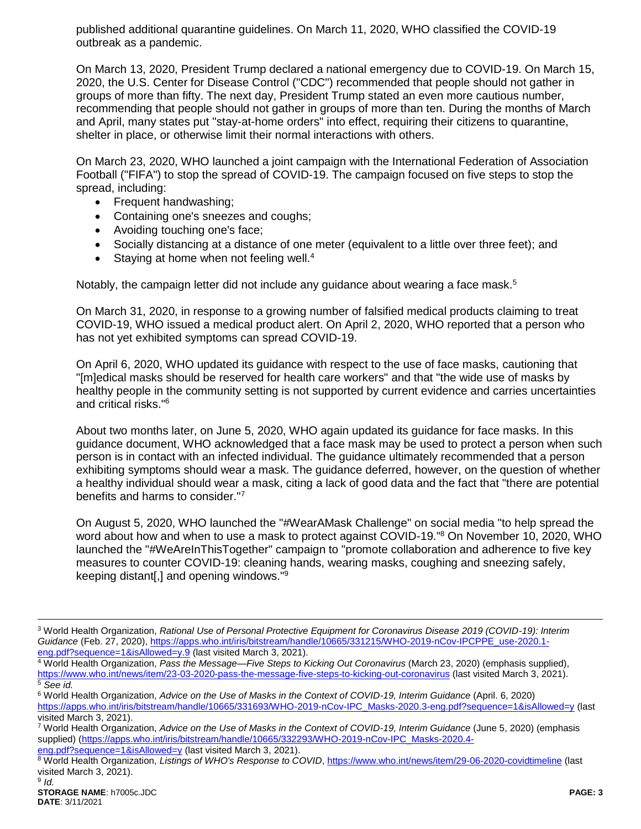published additional quarantine guidelines. On March 11, 2020, WHO classified the COVID-19 outbreak as a pandemic.

On March 13, 2020, President Trump declared a national emergency due to COVID-19. On March 15, 2020, the U.S. Center for Disease Control ("CDC") recommended that people should not gather in groups of more than fifty. The next day, President Trump stated an even more cautious number, recommending that people should not gather in groups of more than ten. During the months of March and April, many states put "stay-at-home orders" into effect, requiring their citizens to quarantine, shelter in place, or otherwise limit their normal interactions with others.

On March 23, 2020, WHO launched a joint campaign with the International Federation of Association Football ("FIFA") to stop the spread of COVID-19. The campaign focused on five steps to stop the spread, including:

- Frequent handwashing;
- Containing one's sneezes and coughs;
- Avoiding touching one's face;
- Socially distancing at a distance of one meter (equivalent to a little over three feet); and
- $\bullet$  Staying at home when not feeling well.<sup>4</sup>

Notably, the campaign letter did not include any quidance about wearing a face mask.<sup>5</sup>

On March 31, 2020, in response to a growing number of falsified medical products claiming to treat COVID-19, WHO issued a medical product alert. On April 2, 2020, WHO reported that a person who has not yet exhibited symptoms can spread COVID-19.

On April 6, 2020, WHO updated its guidance with respect to the use of face masks, cautioning that "[m]edical masks should be reserved for health care workers" and that "the wide use of masks by healthy people in the community setting is not supported by current evidence and carries uncertainties and critical risks."<sup>6</sup>

About two months later, on June 5, 2020, WHO again updated its guidance for face masks. In this guidance document, WHO acknowledged that a face mask may be used to protect a person when such person is in contact with an infected individual. The guidance ultimately recommended that a person exhibiting symptoms should wear a mask. The guidance deferred, however, on the question of whether a healthy individual should wear a mask, citing a lack of good data and the fact that "there are potential benefits and harms to consider."<sup>7</sup>

On August 5, 2020, WHO launched the "#WearAMask Challenge" on social media "to help spread the word about how and when to use a mask to protect against COVID-19.<sup>"8</sup> On November 10, 2020, WHO launched the "#WeAreInThisTogether" campaign to "promote collaboration and adherence to five key measures to counter COVID-19: cleaning hands, wearing masks, coughing and sneezing safely, keeping distant[,] and opening windows."<sup>9</sup>

[eng.pdf?sequence=1&isAllowed=y](https://apps.who.int/iris/bitstream/handle/10665/332293/WHO-2019-nCov-IPC_Masks-2020.4-eng.pdf?sequence=1&isAllowed=y) (last visited March 3, 2021).

<sup>3</sup> World Health Organization, *Rational Use of Personal Protective Equipment for Coronavirus Disease 2019 (COVID-19): Interim Guidance* (Feb. 27, 2020)[, https://apps.who.int/iris/bitstream/handle/10665/331215/WHO-2019-nCov-IPCPPE\\_use-2020.1](https://apps.who.int/iris/bitstream/handle/10665/331215/WHO-2019-nCov-IPCPPE_use-2020.1-eng.pdf?sequence=1&isAllowed=y.9) [eng.pdf?sequence=1&isAllowed=y.9](https://apps.who.int/iris/bitstream/handle/10665/331215/WHO-2019-nCov-IPCPPE_use-2020.1-eng.pdf?sequence=1&isAllowed=y.9) (last visited March 3, 2021).

<sup>4</sup> World Health Organization, *Pass the Message—Five Steps to Kicking Out Coronavirus* (March 23, 2020) (emphasis supplied), <https://www.who.int/news/item/23-03-2020-pass-the-message-five-steps-to-kicking-out-coronavirus> (last visited March 3, 2021). <sup>5</sup> *See id.*

<sup>6</sup> World Health Organization, *Advice on the Use of Masks in the Context of COVID-19, Interim Guidance* (April. 6, 2020) [https://apps.who.int/iris/bitstream/handle/10665/331693/WHO-2019-nCov-IPC\\_Masks-2020.3-eng.pdf?sequence=1&isAllowed=y](https://apps.who.int/iris/bitstream/handle/10665/331693/WHO-2019-nCov-IPC_Masks-2020.3-eng.pdf?sequence=1&isAllowed=y) (last visited March 3, 2021).

<sup>7</sup> World Health Organization, *Advice on the Use of Masks in the Context of COVID-19, Interim Guidance* (June 5, 2020) (emphasis supplied) [\(https://apps.who.int/iris/bitstream/handle/10665/332293/WHO-2019-nCov-IPC\\_Masks-2020.4-](https://apps.who.int/iris/bitstream/handle/10665/332293/WHO-2019-nCov-IPC_Masks-2020.4-eng.pdf?sequence=1&isAllowed=y)

<sup>8</sup> World Health Organization, Listings of WHO's Response to COVID[, https://www.who.int/news/item/29-06-2020-covidtimeline](https://www.who.int/news/item/29-06-2020-covidtimeline) (last visited March 3, 2021).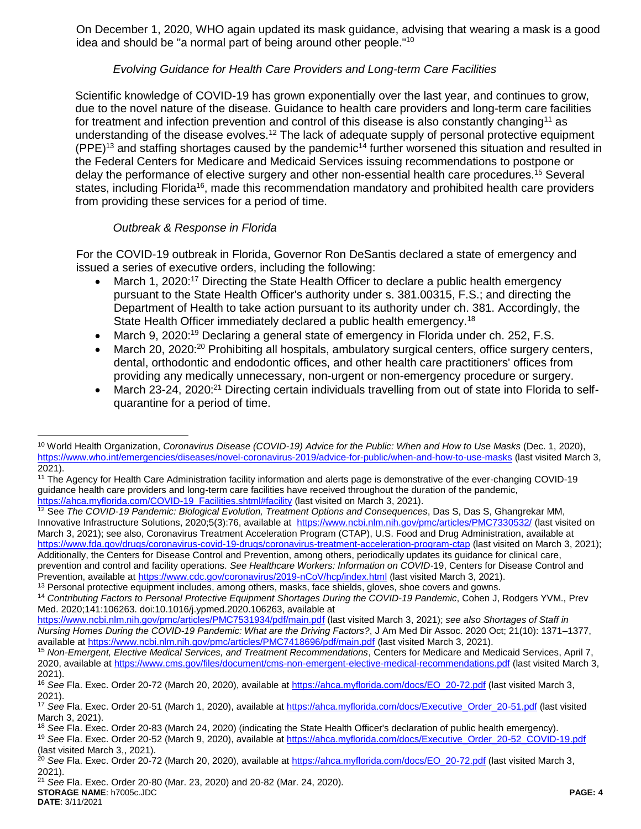On December 1, 2020, WHO again updated its mask guidance, advising that wearing a mask is a good idea and should be "a normal part of being around other people."<sup>10</sup>

## *Evolving Guidance for Health Care Providers and Long-term Care Facilities*

Scientific knowledge of COVID-19 has grown exponentially over the last year, and continues to grow, due to the novel nature of the disease. Guidance to health care providers and long-term care facilities for treatment and infection prevention and control of this disease is also constantly changing<sup>11</sup> as understanding of the disease evolves.<sup>12</sup> The lack of adequate supply of personal protective equipment  $(PEE)^{13}$  and staffing shortages caused by the pandemic<sup>14</sup> further worsened this situation and resulted in the Federal Centers for Medicare and Medicaid Services issuing recommendations to postpone or delay the performance of elective surgery and other non-essential health care procedures.<sup>15</sup> Several states, including Florida<sup>16</sup>, made this recommendation mandatory and prohibited health care providers from providing these services for a period of time.

# *Outbreak & Response in Florida*

 $\overline{a}$ 

For the COVID-19 outbreak in Florida, Governor Ron DeSantis declared a state of emergency and issued a series of executive orders, including the following:

- March 1, 2020:<sup>17</sup> Directing the State Health Officer to declare a public health emergency pursuant to the State Health Officer's authority under s. 381.00315, F.S.; and directing the Department of Health to take action pursuant to its authority under ch. 381. Accordingly, the State Health Officer immediately declared a public health emergency.<sup>18</sup>
- March 9, 2020:<sup>19</sup> Declaring a general state of emergency in Florida under ch. 252, F.S.
- March 20, 2020:<sup>20</sup> Prohibiting all hospitals, ambulatory surgical centers, office surgery centers, dental, orthodontic and endodontic offices, and other health care practitioners' offices from providing any medically unnecessary, non-urgent or non-emergency procedure or surgery.
- March 23-24, 2020:<sup>21</sup> Directing certain individuals travelling from out of state into Florida to selfquarantine for a period of time.

<sup>10</sup> World Health Organization, *Coronavirus Disease (COVID-19) Advice for the Public: When and How to Use Masks* (Dec. 1, 2020), <https://www.who.int/emergencies/diseases/novel-coronavirus-2019/advice-for-public/when-and-how-to-use-masks> (last visited March 3, 2021).

<sup>11</sup> The Agency for Health Care Administration facility information and alerts page is demonstrative of the ever-changing COVID-19 guidance health care providers and long-term care facilities have received throughout the duration of the pandemic, [https://ahca.myflorida.com/COVID-19\\_Facilities.shtml#facility](https://ahca.myflorida.com/COVID-19_Facilities.shtml#facility) (last visited on March 3, 2021).

<sup>12</sup> See *The COVID-19 Pandemic: Biological Evolution, Treatment Options and Consequences*, Das S, Das S, Ghangrekar MM, Innovative Infrastructure Solutions, 2020;5(3):76, available at <https://www.ncbi.nlm.nih.gov/pmc/articles/PMC7330532/> (last visited on March 3, 2021); see also, Coronavirus Treatment Acceleration Program (CTAP), U.S. Food and Drug Administration, available at <https://www.fda.gov/drugs/coronavirus-covid-19-drugs/coronavirus-treatment-acceleration-program-ctap> (last visited on March 3, 2021); Additionally, the Centers for Disease Control and Prevention, among others, periodically updates its guidance for clinical care, prevention and control and facility operations. *See Healthcare Workers: Information on COVID-*19, Centers for Disease Control and Prevention, available at<https://www.cdc.gov/coronavirus/2019-nCoV/hcp/index.html> (last visited March 3, 2021).

<sup>&</sup>lt;sup>13</sup> Personal protective equipment includes, among others, masks, face shields, gloves, shoe covers and gowns.

<sup>14</sup> *Contributing Factors to Personal Protective Equipment Shortages During the COVID-19 Pandemic*, Cohen J, Rodgers YVM., Prev Med. 2020;141:106263. doi:10.1016/j.ypmed.2020.106263, available at

<https://www.ncbi.nlm.nih.gov/pmc/articles/PMC7531934/pdf/main.pdf> (last visited March 3, 2021); *see also Shortages of Staff in Nursing Homes During the COVID-19 Pandemic: What are the Driving Factors?*, J Am Med Dir Assoc. 2020 Oct; 21(10): 1371–1377, available at<https://www.ncbi.nlm.nih.gov/pmc/articles/PMC7418696/pdf/main.pdf> (last visited March 3, 2021).

<sup>15</sup> *Non-Emergent, Elective Medical Services, and Treatment Recommendations*, Centers for Medicare and Medicaid Services, April 7, 2020, available at<https://www.cms.gov/files/document/cms-non-emergent-elective-medical-recommendations.pdf> (last visited March 3, 2021).

<sup>16</sup> *See* Fla. Exec. Order 20-72 (March 20, 2020), available at [https://ahca.myflorida.com/docs/EO\\_20-72.pdf](https://ahca.myflorida.com/docs/EO_20-72.pdf) (last visited March 3, 2021).

<sup>&</sup>lt;sup>17</sup> See Fla. Exec. Order 20-51 (March 1, 2020), available at [https://ahca.myflorida.com/docs/Executive\\_Order\\_20-51.pdf](https://ahca.myflorida.com/docs/Executive_Order_20-51.pdf) (last visited March 3, 2021).

<sup>18</sup> *See* Fla. Exec. Order 20-83 (March 24, 2020) (indicating the State Health Officer's declaration of public health emergency).

<sup>19</sup> *See* Fla. Exec. Order 20-52 (March 9, 2020), available at [https://ahca.myflorida.com/docs/Executive\\_Order\\_20-52\\_COVID-19.pdf](https://ahca.myflorida.com/docs/Executive_Order_20-52_COVID-19.pdf) (last visited March 3,, 2021).

<sup>20</sup> *See* Fla. Exec. Order 20-72 (March 20, 2020), available at [https://ahca.myflorida.com/docs/EO\\_20-72.pdf](https://ahca.myflorida.com/docs/EO_20-72.pdf) (last visited March 3, 2021).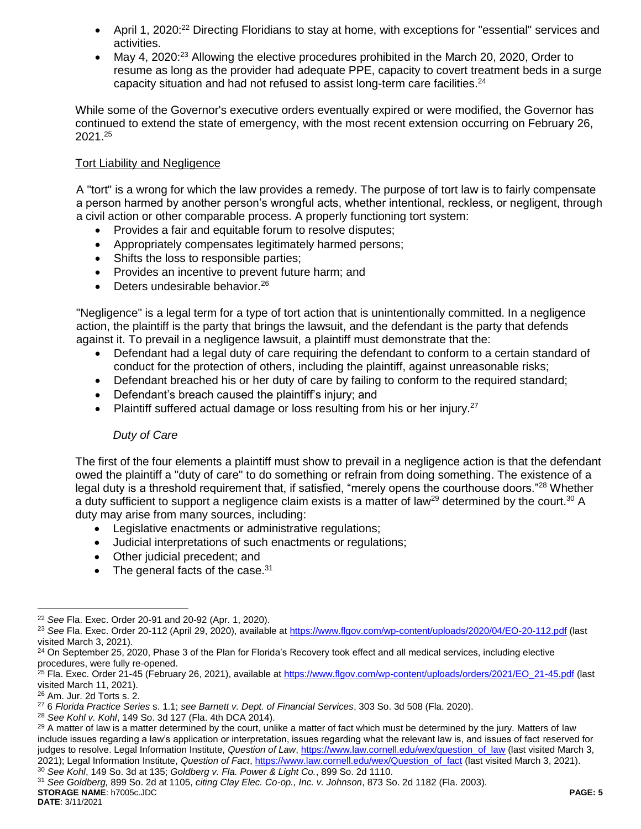- April 1, 2020:<sup>22</sup> Directing Floridians to stay at home, with exceptions for "essential" services and activities.
- May 4, 2020:<sup>23</sup> Allowing the elective procedures prohibited in the March 20, 2020, Order to resume as long as the provider had adequate PPE, capacity to covert treatment beds in a surge capacity situation and had not refused to assist long-term care facilities.<sup>24</sup>

While some of the Governor's executive orders eventually expired or were modified, the Governor has continued to extend the state of emergency, with the most recent extension occurring on February 26,  $2021.^{25}$ 

### Tort Liability and Negligence

A "tort" is a wrong for which the law provides a remedy. The purpose of tort law is to fairly compensate a person harmed by another person's wrongful acts, whether intentional, reckless, or negligent, through a civil action or other comparable process. A properly functioning tort system:

- Provides a fair and equitable forum to resolve disputes;
- Appropriately compensates legitimately harmed persons;
- Shifts the loss to responsible parties;
- Provides an incentive to prevent future harm; and
- $\bullet$  Deters undesirable behavior.<sup>26</sup>

"Negligence" is a legal term for a type of tort action that is unintentionally committed. In a negligence action, the plaintiff is the party that brings the lawsuit, and the defendant is the party that defends against it. To prevail in a negligence lawsuit, a plaintiff must demonstrate that the:

- Defendant had a legal duty of care requiring the defendant to conform to a certain standard of conduct for the protection of others, including the plaintiff, against unreasonable risks;
- Defendant breached his or her duty of care by failing to conform to the required standard;
- Defendant's breach caused the plaintiff's injury; and
- Plaintiff suffered actual damage or loss resulting from his or her injury.<sup>27</sup>

### *Duty of Care*

The first of the four elements a plaintiff must show to prevail in a negligence action is that the defendant owed the plaintiff a "duty of care" to do something or refrain from doing something. The existence of a legal duty is a threshold requirement that, if satisfied, "merely opens the courthouse doors."<sup>28</sup> Whether a duty sufficient to support a negligence claim exists is a matter of law<sup>29</sup> determined by the court.<sup>30</sup> A duty may arise from many sources, including:

- Legislative enactments or administrative regulations;
- Judicial interpretations of such enactments or regulations;
- Other judicial precedent; and
- $\bullet$  The general facts of the case.<sup>31</sup>

<sup>22</sup> *See* Fla. Exec. Order 20-91 and 20-92 (Apr. 1, 2020).

<sup>23</sup> *See* Fla. Exec. Order 20-112 (April 29, 2020), available at<https://www.flgov.com/wp-content/uploads/2020/04/EO-20-112.pdf> (last visited March 3, 2021).

<sup>&</sup>lt;sup>24</sup> On September 25, 2020, Phase 3 of the Plan for Florida's Recovery took effect and all medical services, including elective procedures, were fully re-opened.

<sup>&</sup>lt;sup>25</sup> Fla. Exec. Order 21-45 (February 26, 2021), available at [https://www.flgov.com/wp-content/uploads/orders/2021/EO\\_21-45.pdf](https://www.flgov.com/wp-content/uploads/orders/2021/EO_21-45.pdf) (last visited March 11, 2021).

<sup>26</sup> Am. Jur. 2d Torts s. 2.

<sup>27</sup> 6 *Florida Practice Series* s. 1.1; *see Barnett v. Dept. of Financial Services*, 303 So. 3d 508 (Fla. 2020).

<sup>28</sup> *See Kohl v. Kohl*, 149 So. 3d 127 (Fla. 4th DCA 2014).

<sup>&</sup>lt;sup>29</sup> A matter of law is a matter determined by the court, unlike a matter of fact which must be determined by the jury. Matters of law include issues regarding a law's application or interpretation, issues regarding what the relevant law is, and issues of fact reserved for judges to resolve. Legal Information Institute, Question of Law[, https://www.law.cornell.edu/wex/question\\_of\\_law](https://www.law.cornell.edu/wex/question_of_law) (last visited March 3, 2021); Legal Information Institute, *Question of Fact*[, https://www.law.cornell.edu/wex/Question\\_of\\_fact](https://www.law.cornell.edu/wex/Question_of_fact) (last visited March 3, 2021). <sup>30</sup> *See Kohl*, 149 So. 3d at 135; *Goldberg v. Fla. Power & Light Co.*, 899 So. 2d 1110.

**STORAGE NAME**: h7005c.JDC **PAGE: 5** <sup>31</sup> *See Goldberg,* 899 So. 2d at 1105, *citing Clay Elec. Co-op., Inc. v. Johnson*, 873 So. 2d 1182 (Fla. 2003).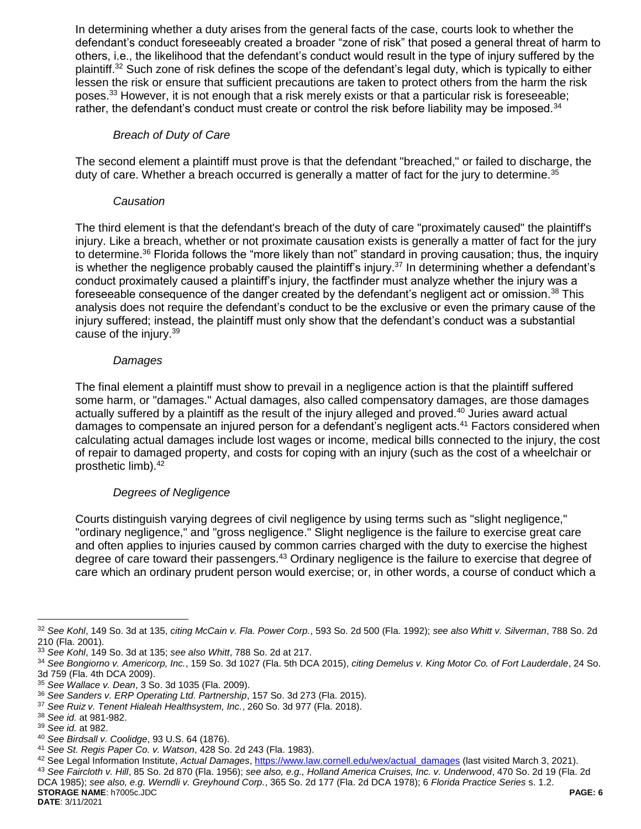In determining whether a duty arises from the general facts of the case, courts look to whether the defendant's conduct foreseeably created a broader "zone of risk" that posed a general threat of harm to others, i.e., the likelihood that the defendant's conduct would result in the type of injury suffered by the plaintiff.<sup>32</sup> Such zone of risk defines the scope of the defendant's legal duty, which is typically to either lessen the risk or ensure that sufficient precautions are taken to protect others from the harm the risk poses.<sup>33</sup> However, it is not enough that a risk merely exists or that a particular risk is foreseeable; rather, the defendant's conduct must create or control the risk before liability may be imposed.<sup>34</sup>

### *Breach of Duty of Care*

The second element a plaintiff must prove is that the defendant "breached," or failed to discharge, the duty of care. Whether a breach occurred is generally a matter of fact for the jury to determine.<sup>35</sup>

### *Causation*

The third element is that the defendant's breach of the duty of care "proximately caused" the plaintiff's injury. Like a breach, whether or not proximate causation exists is generally a matter of fact for the jury to determine.<sup>36</sup> Florida follows the "more likely than not" standard in proving causation; thus, the inquiry is whether the negligence probably caused the plaintiff's injury.<sup>37</sup> In determining whether a defendant's conduct proximately caused a plaintiff's injury, the factfinder must analyze whether the injury was a foreseeable consequence of the danger created by the defendant's negligent act or omission.<sup>38</sup> This analysis does not require the defendant's conduct to be the exclusive or even the primary cause of the injury suffered; instead, the plaintiff must only show that the defendant's conduct was a substantial cause of the injury.<sup>39</sup>

### *Damages*

The final element a plaintiff must show to prevail in a negligence action is that the plaintiff suffered some harm, or "damages." Actual damages, also called compensatory damages, are those damages actually suffered by a plaintiff as the result of the injury alleged and proved.<sup>40</sup> Juries award actual damages to compensate an injured person for a defendant's negligent acts.<sup>41</sup> Factors considered when calculating actual damages include lost wages or income, medical bills connected to the injury, the cost of repair to damaged property, and costs for coping with an injury (such as the cost of a wheelchair or prosthetic limb).<sup>42</sup>

### *Degrees of Negligence*

Courts distinguish varying degrees of civil negligence by using terms such as "slight negligence," "ordinary negligence," and "gross negligence." Slight negligence is the failure to exercise great care and often applies to injuries caused by common carries charged with the duty to exercise the highest degree of care toward their passengers.<sup>43</sup> Ordinary negligence is the failure to exercise that degree of care which an ordinary prudent person would exercise; or, in other words, a course of conduct which a

 $\overline{a}$ 

**STORAGE NAME**: h7005c.JDC **PAGE: 6** <sup>43</sup> *See Faircloth v. Hill*, 85 So. 2d 870 (Fla. 1956); *see also, e.g., Holland America Cruises, Inc. v. Underwood*, 470 So. 2d 19 (Fla. 2d DCA 1985); *see also, e.g. Werndli v. Greyhound Corp.*, 365 So. 2d 177 (Fla. 2d DCA 1978); 6 *Florida Practice Series* s. 1.2.

<sup>32</sup> *See Kohl*, 149 So. 3d at 135, *citing McCain v. Fla. Power Corp.*, 593 So. 2d 500 (Fla. 1992); *see also Whitt v. Silverman*, 788 So. 2d 210 (Fla. 2001).

<sup>33</sup> *See Kohl*, 149 So. 3d at 135; *see also Whitt*, 788 So. 2d at 217.

<sup>34</sup> *See Bongiorno v. Americorp, Inc.*, 159 So. 3d 1027 (Fla. 5th DCA 2015), *citing Demelus v. King Motor Co. of Fort Lauderdale*, 24 So. 3d 759 (Fla. 4th DCA 2009).

<sup>35</sup> *See Wallace v. Dean*, 3 So. 3d 1035 (Fla. 2009).

<sup>36</sup> *See Sanders v. ERP Operating Ltd. Partnership*, 157 So. 3d 273 (Fla. 2015).

<sup>37</sup> *See Ruiz v. Tenent Hialeah Healthsystem, Inc.*, 260 So. 3d 977 (Fla. 2018).

<sup>38</sup> *See id.* at 981-982.

<sup>39</sup> *See id.* at 982.

<sup>40</sup> *See Birdsall v. Coolidge*, 93 U.S. 64 (1876).

<sup>41</sup> *See St. Regis Paper Co. v. Watson*, 428 So. 2d 243 (Fla. 1983).

<sup>42</sup> See Legal Information Institute, *Actual Damages*[, https://www.law.cornell.edu/wex/actual\\_damages](https://www.law.cornell.edu/wex/actual_damages) (last visited March 3, 2021).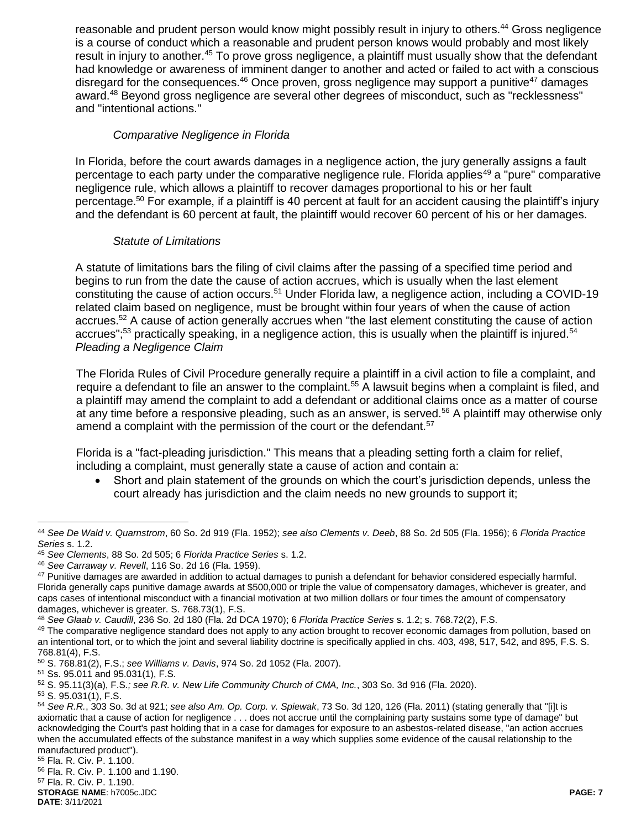reasonable and prudent person would know might possibly result in injury to others.<sup>44</sup> Gross negligence is a course of conduct which a reasonable and prudent person knows would probably and most likely result in injury to another.<sup>45</sup> To prove gross negligence, a plaintiff must usually show that the defendant had knowledge or awareness of imminent danger to another and acted or failed to act with a conscious disregard for the consequences. $46$  Once proven, gross negligence may support a punitive<sup>47</sup> damages award.<sup>48</sup> Beyond gross negligence are several other degrees of misconduct, such as "recklessness" and "intentional actions."

### *Comparative Negligence in Florida*

In Florida, before the court awards damages in a negligence action, the jury generally assigns a fault percentage to each party under the comparative negligence rule. Florida applies<sup>49</sup> a "pure" comparative negligence rule, which allows a plaintiff to recover damages proportional to his or her fault percentage.<sup>50</sup> For example, if a plaintiff is 40 percent at fault for an accident causing the plaintiff's injury and the defendant is 60 percent at fault, the plaintiff would recover 60 percent of his or her damages.

### *Statute of Limitations*

A statute of limitations bars the filing of civil claims after the passing of a specified time period and begins to run from the date the cause of action accrues, which is usually when the last element constituting the cause of action occurs.<sup>51</sup> Under Florida law, a negligence action, including a COVID-19 related claim based on negligence, must be brought within four years of when the cause of action accrues.<sup>52</sup> A cause of action generally accrues when "the last element constituting the cause of action accrues";<sup>53</sup> practically speaking, in a negligence action, this is usually when the plaintiff is injured.<sup>54</sup> *Pleading a Negligence Claim*

The Florida Rules of Civil Procedure generally require a plaintiff in a civil action to file a complaint, and require a defendant to file an answer to the complaint.<sup>55</sup> A lawsuit begins when a complaint is filed, and a plaintiff may amend the complaint to add a defendant or additional claims once as a matter of course at any time before a responsive pleading, such as an answer, is served.<sup>56</sup> A plaintiff may otherwise only amend a complaint with the permission of the court or the defendant.<sup>57</sup>

Florida is a "fact-pleading jurisdiction." This means that a pleading setting forth a claim for relief, including a complaint, must generally state a cause of action and contain a:

 Short and plain statement of the grounds on which the court's jurisdiction depends, unless the court already has jurisdiction and the claim needs no new grounds to support it;

<sup>44</sup> *See De Wald v. Quarnstrom*, 60 So. 2d 919 (Fla. 1952); *see also Clements v. Deeb*, 88 So. 2d 505 (Fla. 1956); 6 *Florida Practice Series* s. 1.2.

<sup>45</sup> *See Clements*, 88 So. 2d 505; 6 *Florida Practice Series* s. 1.2.

<sup>46</sup> *See Carraway v. Revell*, 116 So. 2d 16 (Fla. 1959).

<sup>47</sup> Punitive damages are awarded in addition to actual damages to punish a defendant for behavior considered especially harmful. Florida generally caps punitive damage awards at \$500,000 or triple the value of compensatory damages, whichever is greater, and caps cases of intentional misconduct with a financial motivation at two million dollars or four times the amount of compensatory damages, whichever is greater. S. 768.73(1), F.S.

<sup>48</sup> *See Glaab v. Caudill*, 236 So. 2d 180 (Fla. 2d DCA 1970); 6 *Florida Practice Series* s. 1.2; s. 768.72(2), F.S.

<sup>&</sup>lt;sup>49</sup> The comparative negligence standard does not apply to any action brought to recover economic damages from pollution, based on an intentional tort, or to which the joint and several liability doctrine is specifically applied in chs. 403, 498, 517, 542, and 895, F.S. S. 768.81(4), F.S.

<sup>50</sup> S. 768.81(2), F.S.; *see Williams v. Davis*, 974 So. 2d 1052 (Fla. 2007).

<sup>51</sup> Ss. 95.011 and 95.031(1), F.S.

<sup>52</sup> S. 95.11(3)(a), F.S.*; see R.R. v. New Life Community Church of CMA, Inc.*, 303 So. 3d 916 (Fla. 2020).

<sup>53</sup> S. 95.031(1), F.S.

<sup>54</sup> *See R.R.*, 303 So. 3d at 921; *see also Am. Op. Corp. v. Spiewak*, 73 So. 3d 120, 126 (Fla. 2011) (stating generally that "[i]t is axiomatic that a cause of action for negligence . . . does not accrue until the complaining party sustains some type of damage" but acknowledging the Court's past holding that in a case for damages for exposure to an asbestos-related disease, "an action accrues when the accumulated effects of the substance manifest in a way which supplies some evidence of the causal relationship to the manufactured product").

<sup>55</sup> Fla. R. Civ. P. 1.100. <sup>56</sup> Fla. R. Civ. P. 1.100 and 1.190.

<sup>57</sup> Fla. R. Civ. P. 1.190.

**STORAGE NAME**: h7005c.JDC **PAGE: 7**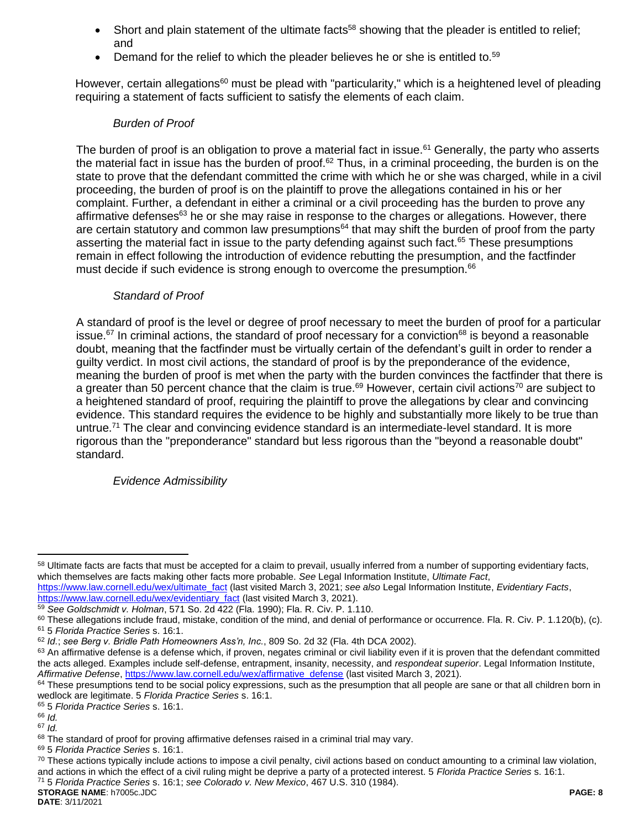- Short and plain statement of the ultimate facts<sup>58</sup> showing that the pleader is entitled to relief; and
- Demand for the relief to which the pleader believes he or she is entitled to.<sup>59</sup>

However, certain allegations<sup>60</sup> must be plead with "particularity," which is a heightened level of pleading requiring a statement of facts sufficient to satisfy the elements of each claim.

## *Burden of Proof*

The burden of proof is an obligation to prove a material fact in issue.<sup>61</sup> Generally, the party who asserts the material fact in issue has the burden of proof.<sup>62</sup> Thus, in a criminal proceeding, the burden is on the state to prove that the defendant committed the crime with which he or she was charged, while in a civil proceeding, the burden of proof is on the plaintiff to prove the allegations contained in his or her complaint. Further, a defendant in either a criminal or a civil proceeding has the burden to prove any affirmative defenses $63$  he or she may raise in response to the charges or allegations. However, there are certain statutory and common law presumptions<sup>64</sup> that may shift the burden of proof from the party asserting the material fact in issue to the party defending against such fact.<sup>65</sup> These presumptions remain in effect following the introduction of evidence rebutting the presumption, and the factfinder must decide if such evidence is strong enough to overcome the presumption.<sup>66</sup>

# *Standard of Proof*

A standard of proof is the level or degree of proof necessary to meet the burden of proof for a particular issue.<sup>67</sup> In criminal actions, the standard of proof necessary for a conviction<sup>68</sup> is beyond a reasonable doubt, meaning that the factfinder must be virtually certain of the defendant's guilt in order to render a guilty verdict. In most civil actions, the standard of proof is by the preponderance of the evidence, meaning the burden of proof is met when the party with the burden convinces the factfinder that there is a greater than 50 percent chance that the claim is true.<sup>69</sup> However, certain civil actions<sup>70</sup> are subject to a heightened standard of proof, requiring the plaintiff to prove the allegations by clear and convincing evidence. This standard requires the evidence to be highly and substantially more likely to be true than untrue.<sup>71</sup> The clear and convincing evidence standard is an intermediate-level standard. It is more rigorous than the "preponderance" standard but less rigorous than the "beyond a reasonable doubt" standard.

# *Evidence Admissibility*

<sup>71</sup> 5 *Florida Practice Series* s. 16:1; *see Colorado v. New Mexico*, 467 U.S. 310 (1984).

**STORAGE NAME**: h7005c.JDC **PAGE: 8 DATE**: 3/11/2021

 $\overline{a}$ 58 Ultimate facts are facts that must be accepted for a claim to prevail, usually inferred from a number of supporting evidentiary facts, which themselves are facts making other facts more probable. *See* Legal Information Institute, *Ultimate Fact*,

[https://www.law.cornell.edu/wex/ultimate\\_fact](https://www.law.cornell.edu/wex/ultimate_fact) (last visited March 3, 2021; *see also* Legal Information Institute, *Evidentiary Facts*, [https://www.law.cornell.edu/wex/evidentiary\\_fact](https://www.law.cornell.edu/wex/evidentiary_fact) (last visited March 3, 2021).

<sup>59</sup> *See Goldschmidt v. Holman*, 571 So. 2d 422 (Fla. 1990); Fla. R. Civ. P. 1.110.

<sup>&</sup>lt;sup>60</sup> These allegations include fraud, mistake, condition of the mind, and denial of performance or occurrence. Fla. R. Civ. P. 1.120(b), (c). <sup>61</sup> 5 *Florida Practice Series* s. 16:1.

<sup>62</sup> *Id.*; *see Berg v. Bridle Path Homeowners Ass'n, Inc.*, 809 So. 2d 32 (Fla. 4th DCA 2002).

<sup>&</sup>lt;sup>63</sup> An affirmative defense is a defense which, if proven, negates criminal or civil liability even if it is proven that the defendant committed the acts alleged. Examples include self-defense, entrapment, insanity, necessity, and *respondeat superior*. Legal Information Institute, *Affirmative Defense*[, https://www.law.cornell.edu/wex/affirmative\\_defense](https://www.law.cornell.edu/wex/affirmative_defense) (last visited March 3, 2021).

<sup>&</sup>lt;sup>64</sup> These presumptions tend to be social policy expressions, such as the presumption that all people are sane or that all children born in wedlock are legitimate. 5 *Florida Practice Series* s. 16:1.

<sup>65</sup> 5 *Florida Practice Series* s. 16:1.

<sup>66</sup> *Id.* 

<sup>67</sup> *Id.*

<sup>68</sup> The standard of proof for proving affirmative defenses raised in a criminal trial may vary.

<sup>69</sup> 5 *Florida Practice Series* s. 16:1.

 $70$  These actions typically include actions to impose a civil penalty, civil actions based on conduct amounting to a criminal law violation, and actions in which the effect of a civil ruling might be deprive a party of a protected interest. 5 *Florida Practice Series* s. 16:1.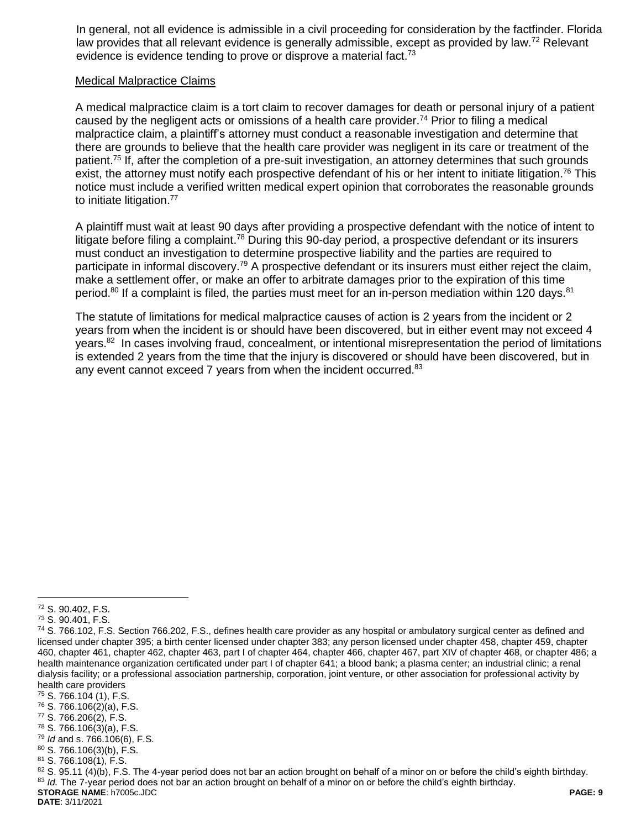In general, not all evidence is admissible in a civil proceeding for consideration by the factfinder. Florida law provides that all relevant evidence is generally admissible, except as provided by law.<sup>72</sup> Relevant evidence is evidence tending to prove or disprove a material fact.<sup>73</sup>

#### Medical Malpractice Claims

A medical malpractice claim is a tort claim to recover damages for death or personal injury of a patient caused by the negligent acts or omissions of a health care provider.<sup>74</sup> Prior to filing a medical malpractice claim, a plaintiff's attorney must conduct a reasonable investigation and determine that there are grounds to believe that the health care provider was negligent in its care or treatment of the patient.<sup>75</sup> If, after the completion of a pre-suit investigation, an attorney determines that such grounds exist, the attorney must notify each prospective defendant of his or her intent to initiate litigation.<sup>76</sup> This notice must include a verified written medical expert opinion that corroborates the reasonable grounds to initiate litigation.<sup>77</sup>

A plaintiff must wait at least 90 days after providing a prospective defendant with the notice of intent to litigate before filing a complaint.<sup>78</sup> During this 90-day period, a prospective defendant or its insurers must conduct an investigation to determine prospective liability and the parties are required to participate in informal discovery.<sup>79</sup> A prospective defendant or its insurers must either reject the claim, make a settlement offer, or make an offer to arbitrate damages prior to the expiration of this time period.<sup>80</sup> If a complaint is filed, the parties must meet for an in-person mediation within 120 days.<sup>81</sup>

The statute of limitations for medical malpractice causes of action is 2 years from the incident or 2 years from when the incident is or should have been discovered, but in either event may not exceed 4 years.<sup>82</sup> In cases involving fraud, concealment, or intentional misrepresentation the period of limitations is extended 2 years from the time that the injury is discovered or should have been discovered, but in any event cannot exceed 7 years from when the incident occurred.<sup>83</sup>

**DATE**: 3/11/2021

 $\overline{a}$ <sup>72</sup> S. 90.402, F.S.

<sup>73</sup> S. 90.401, F.S.

<sup>74</sup> S. 766.102, F.S. Section 766.202, F.S., defines health care provider as any hospital or ambulatory surgical center as defined and licensed under chapter 395; a birth center licensed under chapter 383; any person licensed under chapter 458, chapter 459, chapter 460, chapter 461, chapter 462, chapter 463, part I of chapter 464, chapter 466, chapter 467, part XIV of chapter 468, or chapter 486; a health maintenance organization certificated under part I of chapter 641; a blood bank; a plasma center; an industrial clinic; a renal dialysis facility; or a professional association partnership, corporation, joint venture, or other association for professional activity by health care providers

<sup>75</sup> S. 766.104 (1), F.S.

<sup>76</sup> S. 766.106(2)(a), F.S.

<sup>77</sup> S. 766.206(2), F.S.

<sup>78</sup> S. 766.106(3)(a), F.S.

<sup>79</sup> *Id* and s. 766.106(6), F.S.

 $80$  S. 766.106(3)(b), F.S.

<sup>81</sup> S. 766.108(1), F.S.

**STORAGE NAME**: h7005c.JDC **PAGE: 9**  $82$  S. 95.11 (4)(b), F.S. The 4-year period does not bar an action brought on behalf of a minor on or before the child's eighth birthday. 83 *Id.* The 7-year period does not bar an action brought on behalf of a minor on or before the child's eighth birthday.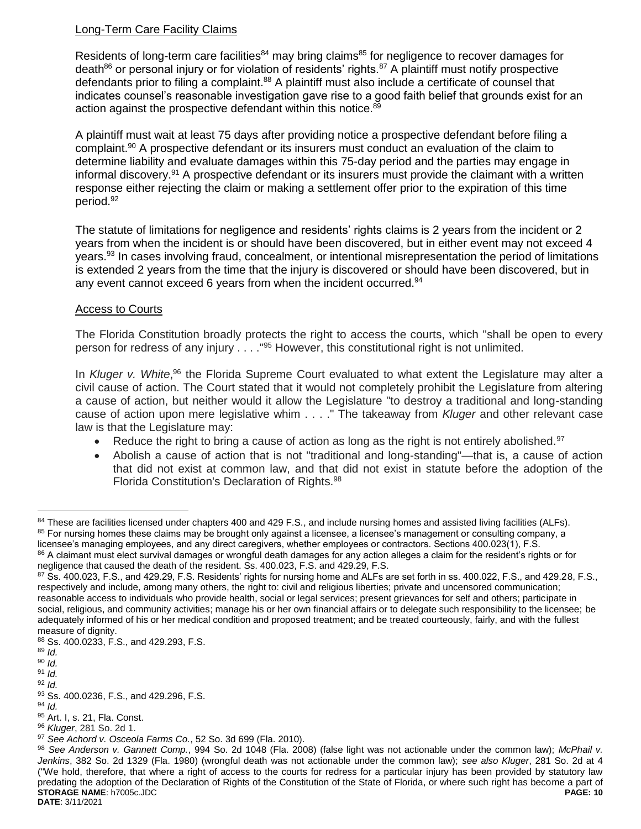# Long-Term Care Facility Claims

Residents of long-term care facilities<sup>84</sup> may bring claims<sup>85</sup> for negligence to recover damages for death $86$  or personal injury or for violation of residents' rights. $87$  A plaintiff must notify prospective defendants prior to filing a complaint.<sup>88</sup> A plaintiff must also include a certificate of counsel that indicates counsel's reasonable investigation gave rise to a good faith belief that grounds exist for an action against the prospective defendant within this notice.<sup>89</sup>

A plaintiff must wait at least 75 days after providing notice a prospective defendant before filing a complaint. <sup>90</sup> A prospective defendant or its insurers must conduct an evaluation of the claim to determine liability and evaluate damages within this 75-day period and the parties may engage in informal discovery.<sup>91</sup> A prospective defendant or its insurers must provide the claimant with a written response either rejecting the claim or making a settlement offer prior to the expiration of this time period. 92

The statute of limitations for negligence and residents' rights claims is 2 years from the incident or 2 years from when the incident is or should have been discovered, but in either event may not exceed 4 years.<sup>93</sup> In cases involving fraud, concealment, or intentional misrepresentation the period of limitations is extended 2 years from the time that the injury is discovered or should have been discovered, but in any event cannot exceed 6 years from when the incident occurred.<sup>94</sup>

# Access to Courts

The Florida Constitution broadly protects the right to access the courts, which "shall be open to every person for redress of any injury . . . ."<sup>95</sup> However, this constitutional right is not unlimited.

In Kluger v. White,<sup>96</sup> the Florida Supreme Court evaluated to what extent the Legislature may alter a civil cause of action. The Court stated that it would not completely prohibit the Legislature from altering a cause of action, but neither would it allow the Legislature "to destroy a traditional and long-standing cause of action upon mere legislative whim . . . ." The takeaway from *Kluger* and other relevant case law is that the Legislature may:

- Reduce the right to bring a cause of action as long as the right is not entirely abolished.<sup>97</sup>
- Abolish a cause of action that is not "traditional and long-standing"—that is, a cause of action that did not exist at common law, and that did not exist in statute before the adoption of the Florida Constitution's Declaration of Rights.<sup>98</sup>

<sup>84</sup> These are facilities licensed under chapters 400 and 429 F.S., and include nursing homes and assisted living facilities (ALFs). <sup>85</sup> For nursing homes these claims may be brought only against a licensee, a licensee's management or consulting company, a licensee's managing employees, and any direct caregivers, whether employees or contractors. Sections 400.023(1), F.S. 86 A claimant must elect survival damages or wrongful death damages for any action alleges a claim for the resident's rights or for

negligence that caused the death of the resident. Ss. 400.023, F.S. and 429.29, F.S.

<sup>87</sup> Ss. 400.023, F.S., and 429.29, F.S. Residents' rights for nursing home and ALFs are set forth in ss. 400.022, F.S., and 429.28, F.S., respectively and include, among many others, the right to: civil and religious liberties; private and uncensored communication; reasonable access to individuals who provide health, social or legal services; present grievances for self and others; participate in social, religious, and community activities; manage his or her own financial affairs or to delegate such responsibility to the licensee; be adequately informed of his or her medical condition and proposed treatment; and be treated courteously, fairly, and with the fullest measure of dignity.

<sup>88</sup> Ss. 400.0233, F.S., and 429.293, F.S.

<sup>89</sup> *Id.*

<sup>90</sup> *Id.*

<sup>91</sup> *Id.* <sup>92</sup> *Id.*

<sup>93</sup> Ss. 400.0236, F.S., and 429.296, F.S.

<sup>94</sup> *Id.*

<sup>95</sup> Art. I, s. 21, Fla. Const.

<sup>96</sup> *Kluger*, 281 So. 2d 1.

<sup>97</sup> *See Achord v. Osceola Farms Co.*, 52 So. 3d 699 (Fla. 2010).

**STORAGE NAME**: h7005c.JDC **PAGE: 10** <sup>98</sup> *See Anderson v. Gannett Comp.*, 994 So. 2d 1048 (Fla. 2008) (false light was not actionable under the common law); *McPhail v. Jenkins*, 382 So. 2d 1329 (Fla. 1980) (wrongful death was not actionable under the common law); *see also Kluger*, 281 So. 2d at 4 ("We hold, therefore, that where a right of access to the courts for redress for a particular injury has been provided by statutory law predating the adoption of the Declaration of Rights of the Constitution of the State of Florida, or where such right has become a part of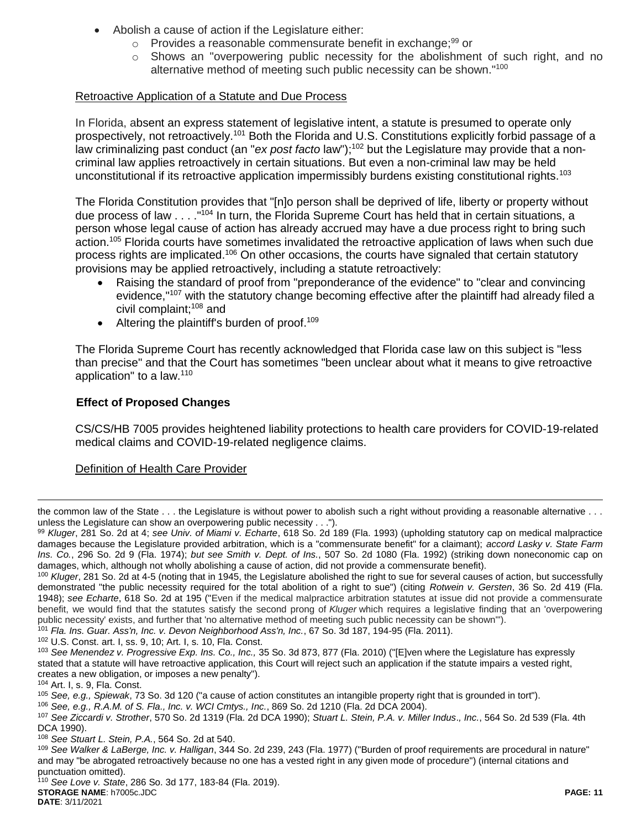- Abolish a cause of action if the Legislature either:
	- $\circ$  Provides a reasonable commensurate benefit in exchange;  $99$  or
	- $\circ$  Shows an "overpowering public necessity for the abolishment of such right, and no alternative method of meeting such public necessity can be shown."<sup>100</sup>

## Retroactive Application of a Statute and Due Process

In Florida, absent an express statement of legislative intent, a statute is presumed to operate only prospectively, not retroactively.<sup>101</sup> Both the Florida and U.S. Constitutions explicitly forbid passage of a law criminalizing past conduct (an "ex post facto law");<sup>102</sup> but the Legislature may provide that a noncriminal law applies retroactively in certain situations. But even a non-criminal law may be held unconstitutional if its retroactive application impermissibly burdens existing constitutional rights.<sup>103</sup>

The Florida Constitution provides that "[n]o person shall be deprived of life, liberty or property without due process of law . . . ."<sup>104</sup> In turn, the Florida Supreme Court has held that in certain situations, a person whose legal cause of action has already accrued may have a due process right to bring such action.<sup>105</sup> Florida courts have sometimes invalidated the retroactive application of laws when such due process rights are implicated.<sup>106</sup> On other occasions, the courts have signaled that certain statutory provisions may be applied retroactively, including a statute retroactively:

- Raising the standard of proof from "preponderance of the evidence" to "clear and convincing evidence."<sup>107</sup> with the statutory change becoming effective after the plaintiff had already filed a civil complaint;<sup>108</sup> and
- $\bullet$  Altering the plaintiff's burden of proof.<sup>109</sup>

The Florida Supreme Court has recently acknowledged that Florida case law on this subject is "less than precise" and that the Court has sometimes "been unclear about what it means to give retroactive application" to a law.<sup>110</sup>

# **Effect of Proposed Changes**

CS/CS/HB 7005 provides heightened liability protections to health care providers for COVID-19-related medical claims and COVID-19-related negligence claims.

### Definition of Health Care Provider

<sup>101</sup> *Fla. Ins. Guar. Ass'n, Inc. v. Devon Neighborhood Ass'n, Inc.*, 67 So. 3d 187, 194-95 (Fla. 2011).

<sup>102</sup> U.S. Const. art. I, ss. 9, 10; Art. I, s. 10, Fla. Const.

 $\overline{a}$ 

<sup>108</sup> *See Stuart L. Stein, P.A.*, 564 So. 2d at 540.

the common law of the State . . . the Legislature is without power to abolish such a right without providing a reasonable alternative . . . unless the Legislature can show an overpowering public necessity . . .").

<sup>99</sup> *Kluger*, 281 So. 2d at 4; *see Univ. of Miami v. Echarte*, 618 So. 2d 189 (Fla. 1993) (upholding statutory cap on medical malpractice damages because the Legislature provided arbitration, which is a "commensurate benefit" for a claimant); *accord Lasky v. State Farm Ins. Co.*, 296 So. 2d 9 (Fla. 1974); *but see Smith v. Dept. of Ins.*, 507 So. 2d 1080 (Fla. 1992) (striking down noneconomic cap on damages, which, although not wholly abolishing a cause of action, did not provide a commensurate benefit).

<sup>&</sup>lt;sup>100</sup> *Kluger*, 281 So. 2d at 4-5 (noting that in 1945, the Legislature abolished the right to sue for several causes of action, but successfully demonstrated "the public necessity required for the total abolition of a right to sue") (citing *Rotwein v. Gersten*, 36 So. 2d 419 (Fla. 1948); *see Echarte*, 618 So. 2d at 195 ("Even if the medical malpractice arbitration statutes at issue did not provide a commensurate benefit, we would find that the statutes satisfy the second prong of *Kluger* which requires a legislative finding that an 'overpowering public necessity' exists, and further that 'no alternative method of meeting such public necessity can be shown'").

<sup>103</sup> *See Menendez v. Progressive Exp. Ins. Co., Inc.,* 35 So. 3d 873, 877 (Fla. 2010) ("[E]ven where the Legislature has expressly stated that a statute will have retroactive application, this Court will reject such an application if the statute impairs a vested right, creates a new obligation, or imposes a new penalty").

<sup>104</sup> Art. I, s. 9, Fla. Const.

<sup>105</sup> *See, e.g., Spiewak*, 73 So. 3d 120 ("a cause of action constitutes an intangible property right that is grounded in tort").

<sup>106</sup> *See, e.g., R.A.M. of S. Fla., Inc. v. WCI Cmtys., Inc.*, 869 So. 2d 1210 (Fla. 2d DCA 2004).

<sup>107</sup> *See Ziccardi v. Strother*, 570 So. 2d 1319 (Fla. 2d DCA 1990); *Stuart L. Stein, P.A. v. Miller Indus*.*, Inc.*, 564 So. 2d 539 (Fla. 4th DCA 1990).

<sup>109</sup> *See Walker & LaBerge, Inc. v. Halligan*, 344 So. 2d 239, 243 (Fla. 1977) ("Burden of proof requirements are procedural in nature" and may "be abrogated retroactively because no one has a vested right in any given mode of procedure") (internal citations and punctuation omitted).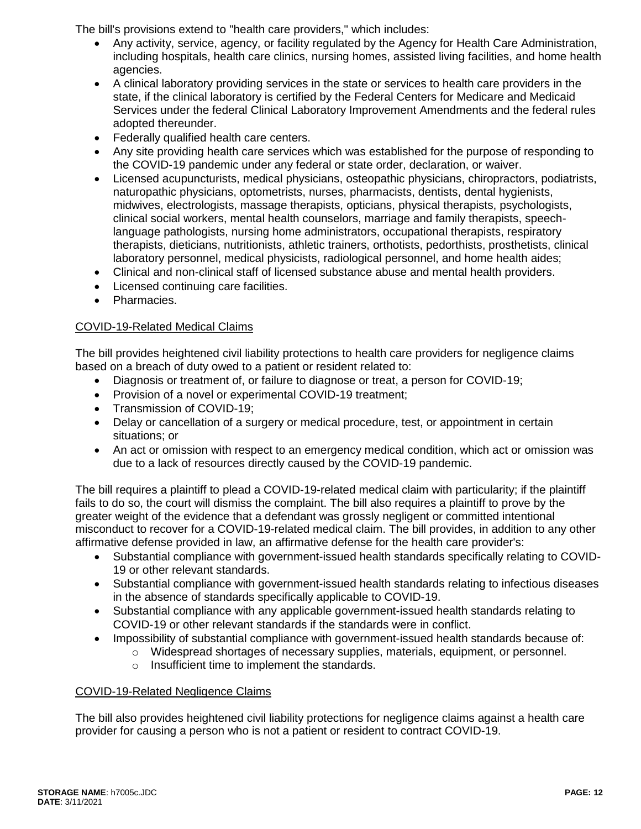The bill's provisions extend to "health care providers," which includes:

- Any activity, service, agency, or facility regulated by the Agency for Health Care Administration, including hospitals, health care clinics, nursing homes, assisted living facilities, and home health agencies.
- A clinical laboratory providing services in the state or services to health care providers in the state, if the clinical laboratory is certified by the Federal Centers for Medicare and Medicaid Services under the federal Clinical Laboratory Improvement Amendments and the federal rules adopted thereunder.
- Federally qualified health care centers.
- Any site providing health care services which was established for the purpose of responding to the COVID-19 pandemic under any federal or state order, declaration, or waiver.
- Licensed acupuncturists, medical physicians, osteopathic physicians, chiropractors, podiatrists, naturopathic physicians, optometrists, nurses, pharmacists, dentists, dental hygienists, midwives, electrologists, massage therapists, opticians, physical therapists, psychologists, clinical social workers, mental health counselors, marriage and family therapists, speechlanguage pathologists, nursing home administrators, occupational therapists, respiratory therapists, dieticians, nutritionists, athletic trainers, orthotists, pedorthists, prosthetists, clinical laboratory personnel, medical physicists, radiological personnel, and home health aides;
- Clinical and non-clinical staff of licensed substance abuse and mental health providers.
- Licensed continuing care facilities.
- Pharmacies.

### COVID-19-Related Medical Claims

The bill provides heightened civil liability protections to health care providers for negligence claims based on a breach of duty owed to a patient or resident related to:

- Diagnosis or treatment of, or failure to diagnose or treat, a person for COVID-19;
- Provision of a novel or experimental COVID-19 treatment;
- Transmission of COVID-19;
- Delay or cancellation of a surgery or medical procedure, test, or appointment in certain situations; or
- An act or omission with respect to an emergency medical condition, which act or omission was due to a lack of resources directly caused by the COVID-19 pandemic.

The bill requires a plaintiff to plead a COVID-19-related medical claim with particularity; if the plaintiff fails to do so, the court will dismiss the complaint. The bill also requires a plaintiff to prove by the greater weight of the evidence that a defendant was grossly negligent or committed intentional misconduct to recover for a COVID-19-related medical claim. The bill provides, in addition to any other affirmative defense provided in law, an affirmative defense for the health care provider's:

- Substantial compliance with government-issued health standards specifically relating to COVID-19 or other relevant standards.
- Substantial compliance with government-issued health standards relating to infectious diseases in the absence of standards specifically applicable to COVID-19.
- Substantial compliance with any applicable government-issued health standards relating to COVID-19 or other relevant standards if the standards were in conflict.
- Impossibility of substantial compliance with government-issued health standards because of:
	- o Widespread shortages of necessary supplies, materials, equipment, or personnel.
		- o Insufficient time to implement the standards.

### COVID-19-Related Negligence Claims

The bill also provides heightened civil liability protections for negligence claims against a health care provider for causing a person who is not a patient or resident to contract COVID-19.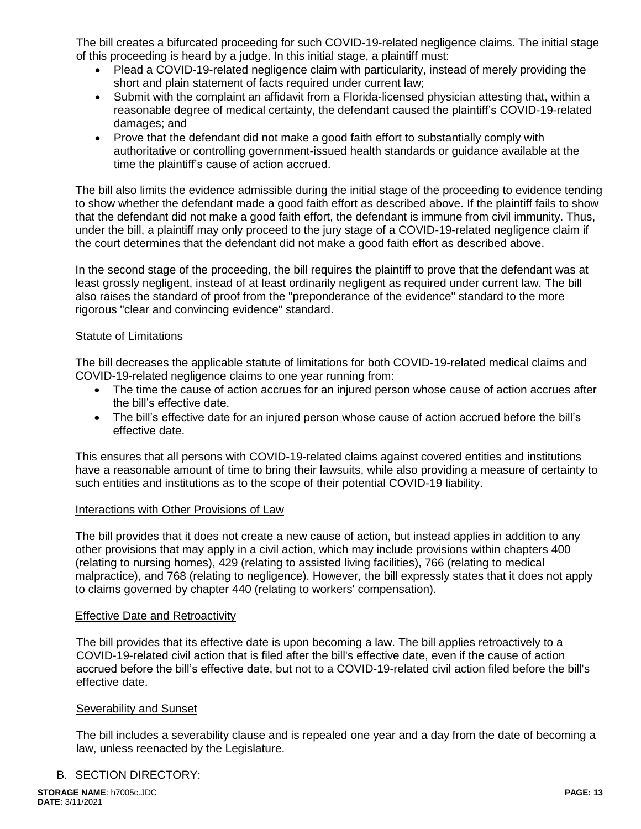The bill creates a bifurcated proceeding for such COVID-19-related negligence claims. The initial stage of this proceeding is heard by a judge. In this initial stage, a plaintiff must:

- Plead a COVID-19-related negligence claim with particularity, instead of merely providing the short and plain statement of facts required under current law;
- Submit with the complaint an affidavit from a Florida-licensed physician attesting that, within a reasonable degree of medical certainty, the defendant caused the plaintiff's COVID-19-related damages; and
- Prove that the defendant did not make a good faith effort to substantially comply with authoritative or controlling government-issued health standards or guidance available at the time the plaintiff's cause of action accrued.

The bill also limits the evidence admissible during the initial stage of the proceeding to evidence tending to show whether the defendant made a good faith effort as described above. If the plaintiff fails to show that the defendant did not make a good faith effort, the defendant is immune from civil immunity. Thus, under the bill, a plaintiff may only proceed to the jury stage of a COVID-19-related negligence claim if the court determines that the defendant did not make a good faith effort as described above.

In the second stage of the proceeding, the bill requires the plaintiff to prove that the defendant was at least grossly negligent, instead of at least ordinarily negligent as required under current law. The bill also raises the standard of proof from the "preponderance of the evidence" standard to the more rigorous "clear and convincing evidence" standard.

### Statute of Limitations

The bill decreases the applicable statute of limitations for both COVID-19-related medical claims and COVID-19-related negligence claims to one year running from:

- The time the cause of action accrues for an injured person whose cause of action accrues after the bill's effective date.
- The bill's effective date for an injured person whose cause of action accrued before the bill's effective date.

This ensures that all persons with COVID-19-related claims against covered entities and institutions have a reasonable amount of time to bring their lawsuits, while also providing a measure of certainty to such entities and institutions as to the scope of their potential COVID-19 liability.

#### Interactions with Other Provisions of Law

The bill provides that it does not create a new cause of action, but instead applies in addition to any other provisions that may apply in a civil action, which may include provisions within chapters 400 (relating to nursing homes), 429 (relating to assisted living facilities), 766 (relating to medical malpractice), and 768 (relating to negligence). However, the bill expressly states that it does not apply to claims governed by chapter 440 (relating to workers' compensation).

#### Effective Date and Retroactivity

The bill provides that its effective date is upon becoming a law. The bill applies retroactively to a COVID-19-related civil action that is filed after the bill's effective date, even if the cause of action accrued before the bill's effective date, but not to a COVID-19-related civil action filed before the bill's effective date.

#### Severability and Sunset

The bill includes a severability clause and is repealed one year and a day from the date of becoming a law, unless reenacted by the Legislature.

### B. SECTION DIRECTORY: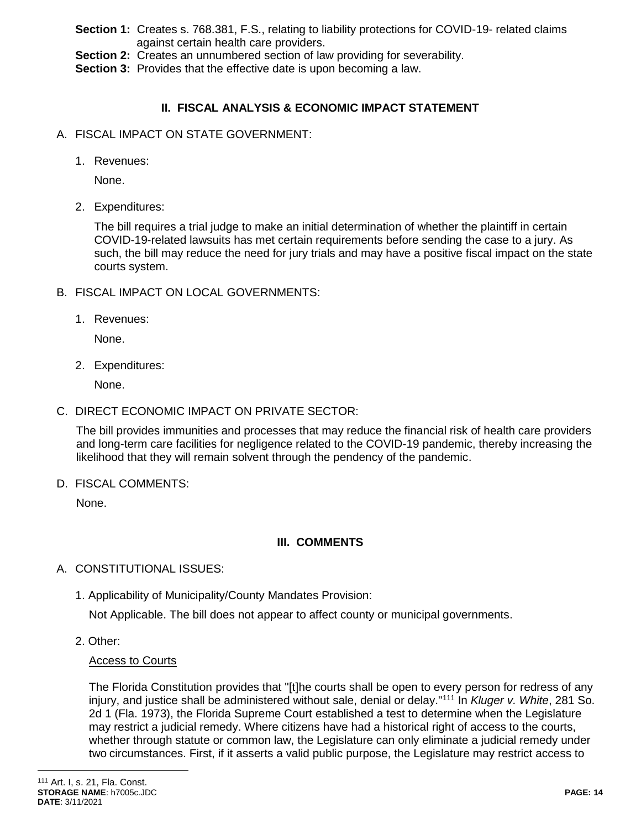- **Section 1:** Creates s. 768.381, F.S., relating to liability protections for COVID-19- related claims against certain health care providers.
- **Section 2:** Creates an unnumbered section of law providing for severability.
- **Section 3:** Provides that the effective date is upon becoming a law.

# **II. FISCAL ANALYSIS & ECONOMIC IMPACT STATEMENT**

- A. FISCAL IMPACT ON STATE GOVERNMENT:
	- 1. Revenues:

None.

2. Expenditures:

The bill requires a trial judge to make an initial determination of whether the plaintiff in certain COVID-19-related lawsuits has met certain requirements before sending the case to a jury. As such, the bill may reduce the need for jury trials and may have a positive fiscal impact on the state courts system.

- B. FISCAL IMPACT ON LOCAL GOVERNMENTS:
	- 1. Revenues:

None.

2. Expenditures:

None.

C. DIRECT ECONOMIC IMPACT ON PRIVATE SECTOR:

The bill provides immunities and processes that may reduce the financial risk of health care providers and long-term care facilities for negligence related to the COVID-19 pandemic, thereby increasing the likelihood that they will remain solvent through the pendency of the pandemic.

D. FISCAL COMMENTS:

None.

# **III. COMMENTS**

- A. CONSTITUTIONAL ISSUES:
	- 1. Applicability of Municipality/County Mandates Provision:

Not Applicable. The bill does not appear to affect county or municipal governments.

2. Other:

# Access to Courts

The Florida Constitution provides that "[t]he courts shall be open to every person for redress of any injury, and justice shall be administered without sale, denial or delay."<sup>111</sup> In *Kluger v. White*, 281 So. 2d 1 (Fla. 1973), the Florida Supreme Court established a test to determine when the Legislature may restrict a judicial remedy. Where citizens have had a historical right of access to the courts, whether through statute or common law, the Legislature can only eliminate a judicial remedy under two circumstances. First, if it asserts a valid public purpose, the Legislature may restrict access to